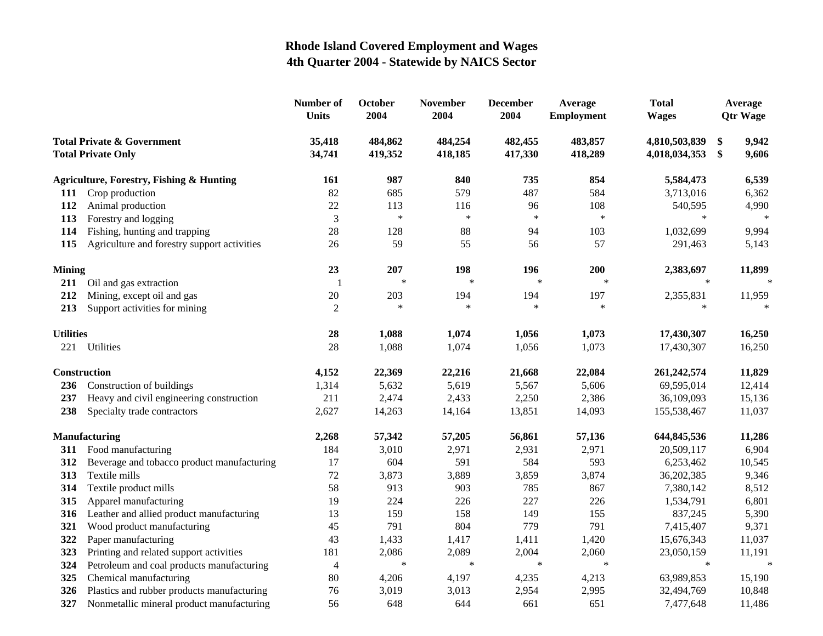|                                                                    |                                                     | Number of<br><b>Units</b> | October<br>2004    | <b>November</b><br>2004 | <b>December</b><br>2004 | Average<br><b>Employment</b> | <b>Total</b><br><b>Wages</b>   |          | Average<br><b>Qtr Wage</b> |
|--------------------------------------------------------------------|-----------------------------------------------------|---------------------------|--------------------|-------------------------|-------------------------|------------------------------|--------------------------------|----------|----------------------------|
| <b>Total Private &amp; Government</b><br><b>Total Private Only</b> |                                                     | 35,418<br>34,741          | 484,862<br>419,352 | 484,254<br>418,185      | 482,455<br>417,330      | 483,857<br>418,289           | 4,810,503,839<br>4,018,034,353 | \$<br>\$ | 9,942<br>9,606             |
|                                                                    | <b>Agriculture, Forestry, Fishing &amp; Hunting</b> | <b>161</b>                | 987                | 840                     | 735                     | 854                          | 5,584,473                      |          | 6,539                      |
|                                                                    | 111 Crop production                                 | 82                        | 685                | 579                     | 487                     | 584                          | 3,713,016                      |          | 6,362                      |
| 112                                                                | Animal production                                   | 22                        | 113                | 116                     | 96                      | 108                          | 540,595                        |          | 4,990                      |
| 113                                                                | Forestry and logging                                | 3                         | $\ast$             | $\ast$                  | $\ast$                  | $\ast$                       |                                |          |                            |
| 114                                                                | Fishing, hunting and trapping                       | 28                        | 128                | 88                      | 94                      | 103                          | 1,032,699                      |          | 9,994                      |
| 115                                                                | Agriculture and forestry support activities         | 26                        | 59                 | 55                      | 56                      | 57                           | 291,463                        |          | 5,143                      |
| <b>Mining</b>                                                      |                                                     | 23                        | 207                | 198                     | 196                     | 200                          | 2,383,697                      |          | 11,899                     |
| 211                                                                | Oil and gas extraction                              | $\overline{1}$            | $\ast$             | $\ast$                  | $\ast$                  | $\ast$                       | $\ast$                         |          | $\ast$                     |
| 212                                                                | Mining, except oil and gas                          | 20                        | 203                | 194                     | 194                     | 197                          | 2,355,831                      |          | 11,959                     |
| 213                                                                | Support activities for mining                       | $\overline{2}$            | $\ast$             | $\ast$                  | $\ast$                  | $\ast$                       | $\ast$                         |          | $\ast$                     |
| <b>Utilities</b>                                                   |                                                     | 28                        | 1,088              | 1,074                   | 1,056                   | 1,073                        | 17,430,307                     |          | 16,250                     |
| 221                                                                | Utilities                                           | 28                        | 1,088              | 1,074                   | 1,056                   | 1,073                        | 17,430,307                     |          | 16,250                     |
|                                                                    | Construction                                        | 4,152                     | 22,369             | 22,216                  | 21,668                  | 22,084                       | 261,242,574                    |          | 11,829                     |
| 236                                                                | Construction of buildings                           | 1,314                     | 5,632              | 5,619                   | 5,567                   | 5,606                        | 69,595,014                     |          | 12,414                     |
| 237                                                                | Heavy and civil engineering construction            | 211                       | 2,474              | 2,433                   | 2,250                   | 2,386                        | 36,109,093                     |          | 15,136                     |
| 238                                                                | Specialty trade contractors                         | 2,627                     | 14,263             | 14,164                  | 13,851                  | 14,093                       | 155,538,467                    |          | 11,037                     |
| <b>Manufacturing</b>                                               |                                                     | 2,268                     | 57,342             | 57,205                  | 56,861                  | 57,136                       | 644,845,536                    |          | 11,286                     |
| 311                                                                | Food manufacturing                                  | 184                       | 3,010              | 2,971                   | 2,931                   | 2,971                        | 20,509,117                     |          | 6,904                      |
| 312                                                                | Beverage and tobacco product manufacturing          | 17                        | 604                | 591                     | 584                     | 593                          | 6,253,462                      |          | 10,545                     |
| 313                                                                | Textile mills                                       | 72                        | 3,873              | 3,889                   | 3,859                   | 3,874                        | 36,202,385                     |          | 9,346                      |
| 314                                                                | Textile product mills                               | 58                        | 913                | 903                     | 785                     | 867                          | 7,380,142                      |          | 8,512                      |
| 315                                                                | Apparel manufacturing                               | 19                        | 224                | 226                     | 227                     | 226                          | 1,534,791                      |          | 6,801                      |
| 316                                                                | Leather and allied product manufacturing            | 13                        | 159                | 158                     | 149                     | 155                          | 837,245                        |          | 5,390                      |
| 321                                                                | Wood product manufacturing                          | 45                        | 791                | 804                     | 779                     | 791                          | 7,415,407                      |          | 9,371                      |
| 322                                                                | Paper manufacturing                                 | 43                        | 1,433              | 1,417                   | 1,411                   | 1,420                        | 15,676,343                     |          | 11,037                     |
| 323                                                                | Printing and related support activities             | 181                       | 2,086              | 2,089                   | 2,004                   | 2,060                        | 23,050,159                     |          | 11,191                     |
| 324                                                                | Petroleum and coal products manufacturing           | $\overline{4}$            | $\ast$             | $\ast$                  | $\ast$                  | $\ast$                       | $\ast$                         |          | $\ast$                     |
| 325                                                                | Chemical manufacturing                              | 80                        | 4,206              | 4,197                   | 4,235                   | 4,213                        | 63,989,853                     |          | 15,190                     |
| 326                                                                | Plastics and rubber products manufacturing          | 76                        | 3,019              | 3,013                   | 2,954                   | 2,995                        | 32,494,769                     |          | 10,848                     |
| 327                                                                | Nonmetallic mineral product manufacturing           | 56                        | 648                | 644                     | 661                     | 651                          | 7,477,648                      |          | 11,486                     |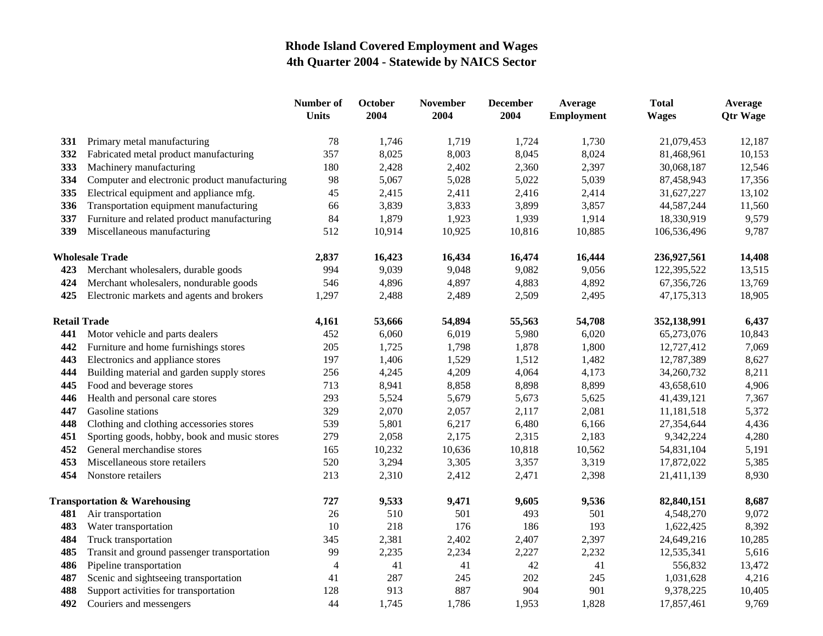|                                         |                                               | <b>Number of</b><br><b>Units</b> | <b>October</b><br>2004 | <b>November</b><br>2004 | <b>December</b><br>2004 | Average<br><b>Employment</b> | <b>Total</b><br><b>Wages</b> | Average<br><b>Qtr Wage</b> |
|-----------------------------------------|-----------------------------------------------|----------------------------------|------------------------|-------------------------|-------------------------|------------------------------|------------------------------|----------------------------|
| 331                                     | Primary metal manufacturing                   | 78                               | 1,746                  | 1,719                   | 1,724                   | 1,730                        | 21,079,453                   | 12,187                     |
| 332                                     | Fabricated metal product manufacturing        | 357                              | 8,025                  | 8,003                   | 8,045                   | 8,024                        | 81,468,961                   | 10,153                     |
| 333                                     | Machinery manufacturing                       | 180                              | 2,428                  | 2,402                   | 2,360                   | 2,397                        | 30,068,187                   | 12,546                     |
| 334                                     | Computer and electronic product manufacturing | 98                               | 5,067                  | 5,028                   | 5,022                   | 5,039                        | 87,458,943                   | 17,356                     |
| 335                                     | Electrical equipment and appliance mfg.       | 45                               | 2,415                  | 2,411                   | 2,416                   | 2,414                        | 31,627,227                   | 13,102                     |
| 336                                     | Transportation equipment manufacturing        | 66                               | 3,839                  | 3,833                   | 3,899                   | 3,857                        | 44,587,244                   | 11,560                     |
| 337                                     | Furniture and related product manufacturing   | 84                               | 1,879                  | 1,923                   | 1,939                   | 1,914                        | 18,330,919                   | 9,579                      |
| 339                                     | Miscellaneous manufacturing                   | 512                              | 10,914                 | 10,925                  | 10,816                  | 10,885                       | 106,536,496                  | 9,787                      |
|                                         | <b>Wholesale Trade</b>                        | 2,837                            | 16,423                 | 16,434                  | 16,474                  | 16,444                       | 236,927,561                  | 14,408                     |
| 423                                     | Merchant wholesalers, durable goods           | 994                              | 9,039                  | 9,048                   | 9,082                   | 9,056                        | 122,395,522                  | 13,515                     |
| 424                                     | Merchant wholesalers, nondurable goods        | 546                              | 4,896                  | 4,897                   | 4,883                   | 4,892                        | 67,356,726                   | 13,769                     |
| 425                                     | Electronic markets and agents and brokers     | 1,297                            | 2,488                  | 2,489                   | 2,509                   | 2,495                        | 47,175,313                   | 18,905                     |
| <b>Retail Trade</b>                     |                                               | 4,161                            | 53,666                 | 54,894                  | 55,563                  | 54,708                       | 352,138,991                  | 6,437                      |
| 441                                     | Motor vehicle and parts dealers               | 452                              | 6,060                  | 6,019                   | 5,980                   | 6,020                        | 65,273,076                   | 10,843                     |
| 442                                     | Furniture and home furnishings stores         | 205                              | 1,725                  | 1,798                   | 1,878                   | 1,800                        | 12,727,412                   | 7,069                      |
| 443                                     | Electronics and appliance stores              | 197                              | 1,406                  | 1,529                   | 1,512                   | 1,482                        | 12,787,389                   | 8,627                      |
| 444                                     | Building material and garden supply stores    | 256                              | 4,245                  | 4,209                   | 4,064                   | 4,173                        | 34,260,732                   | 8,211                      |
| 445                                     | Food and beverage stores                      | 713                              | 8,941                  | 8,858                   | 8,898                   | 8,899                        | 43,658,610                   | 4,906                      |
| 446                                     | Health and personal care stores               | 293                              | 5,524                  | 5,679                   | 5,673                   | 5,625                        | 41,439,121                   | 7,367                      |
| 447                                     | Gasoline stations                             | 329                              | 2,070                  | 2,057                   | 2,117                   | 2,081                        | 11,181,518                   | 5,372                      |
| 448                                     | Clothing and clothing accessories stores      | 539                              | 5,801                  | 6,217                   | 6,480                   | 6,166                        | 27,354,644                   | 4,436                      |
| 451                                     | Sporting goods, hobby, book and music stores  | 279                              | 2,058                  | 2,175                   | 2,315                   | 2,183                        | 9,342,224                    | 4,280                      |
| 452                                     | General merchandise stores                    | 165                              | 10,232                 | 10,636                  | 10,818                  | 10,562                       | 54,831,104                   | 5,191                      |
| 453                                     | Miscellaneous store retailers                 | 520                              | 3,294                  | 3,305                   | 3,357                   | 3,319                        | 17,872,022                   | 5,385                      |
| 454                                     | Nonstore retailers                            | 213                              | 2,310                  | 2,412                   | 2,471                   | 2,398                        | 21,411,139                   | 8,930                      |
| <b>Transportation &amp; Warehousing</b> |                                               | 727                              | 9,533                  | 9,471                   | 9,605                   | 9,536                        | 82,840,151                   | 8,687                      |
| 481                                     | Air transportation                            | 26                               | 510                    | 501                     | 493                     | 501                          | 4,548,270                    | 9,072                      |
| 483                                     | Water transportation                          | 10                               | 218                    | 176                     | 186                     | 193                          | 1,622,425                    | 8,392                      |
| 484                                     | Truck transportation                          | 345                              | 2,381                  | 2,402                   | 2,407                   | 2,397                        | 24,649,216                   | 10,285                     |
| 485                                     | Transit and ground passenger transportation   | 99                               | 2,235                  | 2,234                   | 2,227                   | 2,232                        | 12,535,341                   | 5,616                      |
| 486                                     | Pipeline transportation                       | $\overline{4}$                   | 41                     | 41                      | 42                      | 41                           | 556,832                      | 13,472                     |
| 487                                     | Scenic and sightseeing transportation         | 41                               | 287                    | 245                     | 202                     | 245                          | 1,031,628                    | 4,216                      |
| 488                                     | Support activities for transportation         | 128                              | 913                    | 887                     | 904                     | 901                          | 9,378,225                    | 10,405                     |
| 492                                     | Couriers and messengers                       | 44                               | 1,745                  | 1,786                   | 1,953                   | 1,828                        | 17,857,461                   | 9,769                      |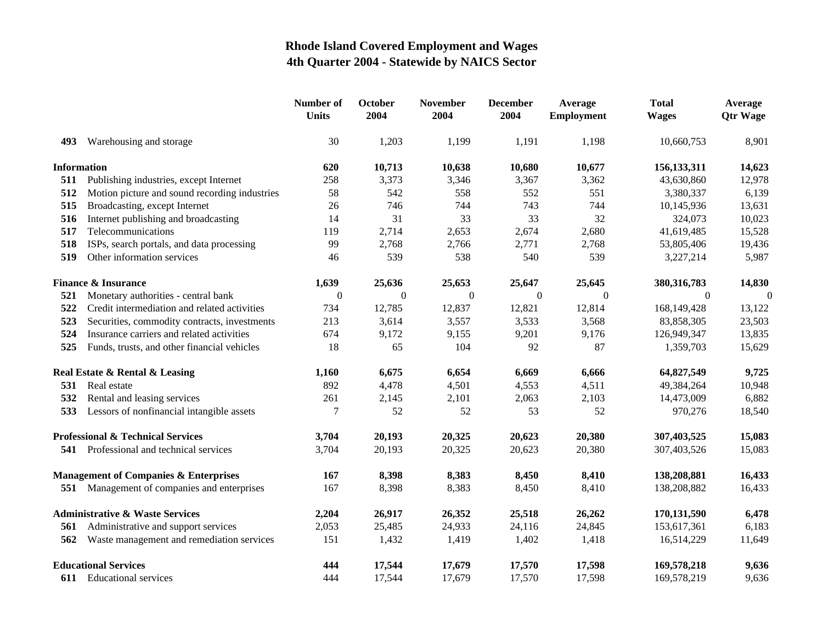|                                              |                                                  | Number of<br><b>Units</b> | October<br>2004 | <b>November</b><br>2004 | <b>December</b><br>2004 | Average<br><b>Employment</b> | <b>Total</b><br><b>Wages</b> | Average<br><b>Qtr Wage</b> |
|----------------------------------------------|--------------------------------------------------|---------------------------|-----------------|-------------------------|-------------------------|------------------------------|------------------------------|----------------------------|
| 493                                          | Warehousing and storage                          | 30                        | 1,203           | 1,199                   | 1,191                   | 1,198                        | 10,660,753                   | 8,901                      |
| <b>Information</b>                           |                                                  | 620                       | 10,713          | 10,638                  | 10,680                  | 10,677                       | 156, 133, 311                | 14,623                     |
| 511                                          | Publishing industries, except Internet           | 258                       | 3,373           | 3,346                   | 3,367                   | 3,362                        | 43,630,860                   | 12,978                     |
| 512                                          | Motion picture and sound recording industries    | 58                        | 542             | 558                     | 552                     | 551                          | 3,380,337                    | 6,139                      |
| 515                                          | Broadcasting, except Internet                    | 26                        | 746             | 744                     | 743                     | 744                          | 10,145,936                   | 13,631                     |
| 516                                          | Internet publishing and broadcasting             | 14                        | 31              | 33                      | 33                      | 32                           | 324,073                      | 10,023                     |
| 517                                          | Telecommunications                               | 119                       | 2,714           | 2,653                   | 2,674                   | 2,680                        | 41,619,485                   | 15,528                     |
| 518                                          | ISPs, search portals, and data processing        | 99                        | 2,768           | 2,766                   | 2,771                   | 2,768                        | 53,805,406                   | 19,436                     |
| 519                                          | Other information services                       | 46                        | 539             | 538                     | 540                     | 539                          | 3,227,214                    | 5,987                      |
| <b>Finance &amp; Insurance</b>               |                                                  | 1,639                     | 25,636          | 25,653                  | 25,647                  | 25,645                       | 380, 316, 783                | 14,830                     |
| 521                                          | Monetary authorities - central bank              | $\Omega$                  | $\theta$        | $\theta$                | $\boldsymbol{0}$        | $\theta$                     | $\Omega$                     | $\Omega$                   |
| 522                                          | Credit intermediation and related activities     | 734                       | 12,785          | 12,837                  | 12,821                  | 12,814                       | 168,149,428                  | 13,122                     |
| 523                                          | Securities, commodity contracts, investments     | 213                       | 3,614           | 3,557                   | 3,533                   | 3,568                        | 83,858,305                   | 23,503                     |
| 524                                          | Insurance carriers and related activities        | 674                       | 9,172           | 9,155                   | 9,201                   | 9,176                        | 126,949,347                  | 13,835                     |
| 525                                          | Funds, trusts, and other financial vehicles      | 18                        | 65              | 104                     | 92                      | 87                           | 1,359,703                    | 15,629                     |
| Real Estate & Rental & Leasing               |                                                  | 1,160                     | 6,675           | 6,654                   | 6,669                   | 6,666                        | 64,827,549                   | 9,725                      |
| 531                                          | Real estate                                      | 892                       | 4,478           | 4,501                   | 4,553                   | 4,511                        | 49,384,264                   | 10,948                     |
| 532                                          | Rental and leasing services                      | 261                       | 2,145           | 2,101                   | 2,063                   | 2,103                        | 14,473,009                   | 6,882                      |
| 533                                          | Lessors of nonfinancial intangible assets        | 7                         | 52              | 52                      | 53                      | 52                           | 970,276                      | 18,540                     |
| <b>Professional &amp; Technical Services</b> |                                                  | 3,704                     | 20,193          | 20,325                  | 20,623                  | 20,380                       | 307,403,525                  | 15,083                     |
|                                              | 541 Professional and technical services          | 3,704                     | 20,193          | 20,325                  | 20,623                  | 20,380                       | 307,403,526                  | 15,083                     |
|                                              | <b>Management of Companies &amp; Enterprises</b> | 167                       | 8,398           | 8,383                   | 8,450                   | 8,410                        | 138,208,881                  | 16,433                     |
|                                              | 551 Management of companies and enterprises      | 167                       | 8,398           | 8,383                   | 8,450                   | 8,410                        | 138,208,882                  | 16,433                     |
| <b>Administrative &amp; Waste Services</b>   |                                                  | 2,204                     | 26,917          | 26,352                  | 25,518                  | 26,262                       | 170,131,590                  | 6,478                      |
| 561                                          | Administrative and support services              | 2,053                     | 25,485          | 24,933                  | 24,116                  | 24,845                       | 153,617,361                  | 6,183                      |
| 562                                          | Waste management and remediation services        | 151                       | 1,432           | 1,419                   | 1,402                   | 1,418                        | 16,514,229                   | 11,649                     |
| <b>Educational Services</b>                  |                                                  | 444                       | 17,544          | 17,679                  | 17,570                  | 17,598                       | 169,578,218                  | 9,636                      |
|                                              | 611 Educational services                         | 444                       | 17,544          | 17,679                  | 17,570                  | 17,598                       | 169,578,219                  | 9,636                      |